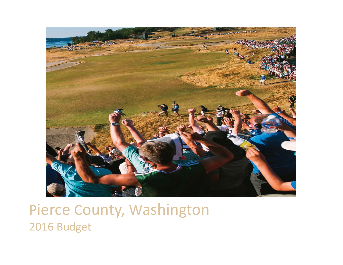

### Pierce County, Washington 2016 Budget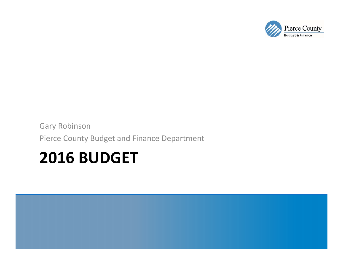# **2016 BUDGET**

Gary Robinson Pierce County Budget and Finance Department

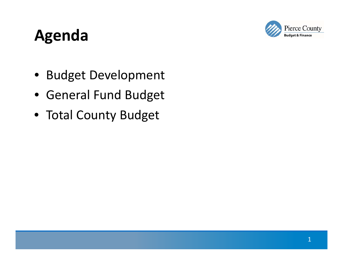#### Pierce County **Budget & Finance**

# **Agenda**

- Budget Development
- General Fund Budget
- Total County Budget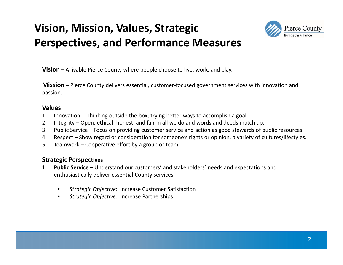### **Vision, Mission, Values, Strategic Perspectives, and Performance Measures**



**Vision –** A livable Pierce County where people choose to live, work, and play.

**Mission –** Pierce County delivers essential, customer‐focused government services with innovation and passion.

#### **Values**

- 1. Innovation Thinking outside the box; trying better ways to accomplish <sup>a</sup> goal.
- 2. Integrity Open, ethical, honest, and fair in all we do and words and deeds match up.
- 3. Public Service Focus on providing customer service and action as good stewards of public resources.
- 4. Respect Show regard or consideration for someone's rights or opinion, <sup>a</sup> variety of cultures/lifestyles.
- 5. Teamwork Cooperative effort by <sup>a</sup> group or team.

#### **Strategic Perspectives**

- **1. Public Service** Understand our customers' and stakeholders' needs and expectations and enthusiastically deliver essential County services.
	- •*Strategic Objective*: Increase Customer Satisfaction
	- •*Strategic Objective:* Increase Partnerships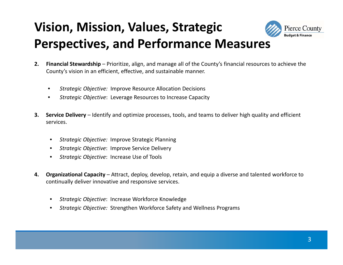## **Vision, Mission, Values, Strategic Perspectives, and Performance Measures**



- •*Strategic Objective:* Improve Resource Allocation Decisions
- •*Strategic Objective*: Leverage Resources to Increase Capacity
- **3. Service Delivery** Identify and optimize processes, tools, and teams to deliver high quality and efficient services.
	- •*Strategic Objective:* Improve Strategic Planning
	- •*Strategic Objective*: Improve Service Delivery
	- •*Strategic Objective*: Increase Use of Tools
- **4. Organizational Capacity** Attract, deploy, develop, retain, and equip <sup>a</sup> diverse and talented workforce to continually deliver innovative and responsive services.
	- •*Strategic Objective*: Increase Workforce Knowledge
	- •*Strategic Objective:* Strengthen Workforce Safety and Wellness Programs

**Pierce County Budget & Finance**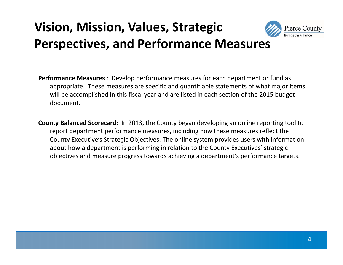### **Vision, Mission, Values, Strategic Perspectives, and Performance Measures**



- **Performance Measures** : Develop performance measures for each department or fund as appropriate. These measures are specific and quantifiable statements of what major items will be accomplished in this fiscal year and are listed in each section of the 2015 budget document.
- **County Balanced Scorecard:** In 2013, the County began developing an online reporting tool to report department performance measures, including how these measures reflect the County Executive's Strategic Objectives. The online system provides users with information about how <sup>a</sup> department is performing in relation to the County Executives' strategic objectives and measure progress towards achieving <sup>a</sup> department's performance targets.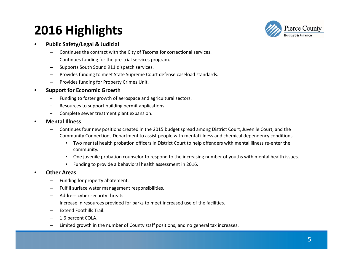### **2016 Highlights**



#### •**Public Safety/Legal & Judicial**

- Continues the contract with the City of Tacoma for correctional services.
- Continues funding for the pre‐trial services program.
- Supports South Sound 911 dispatch services.
- Provides funding to meet State Supreme Court defense caseload standards.
- Provides funding for Property Crimes Unit.

#### •**Support for Economic Growth**

- Funding to foster growth of aerospace and agricultural sectors.
- Resources to support building permit applications.
- Complete sewer treatment plant expansion.
- • **Mental Illness**
	- Continues four new positions created in the 2015 budget spread among District Court, Juvenile Court, and the Community Connections Department to assist people with mental illness and chemical dependency conditions.
		- Two mental health probation officers in District Court to help offenders with mental illness re‐enter the community.
		- One juvenile probation counselor to respond to the increasing number of youths with mental health issues.
		- Funding to provide <sup>a</sup> behavioral health assessment in 2016.

#### •**Other Areas**

- Funding for property abatement.
- Fulfill surface water management responsibilities.
- Address cyber security threats.
- Increase in resources provided for parks to meet increased use of the facilities.
- Extend Foothills Trail.
- 1.6 percent COLA.
- Limited growth in the number of County staff positions, and no general tax increases.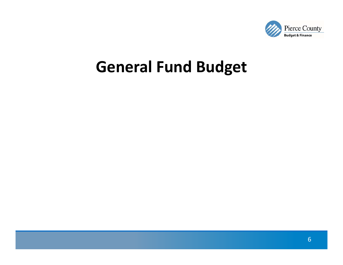

## **General Fund Budget**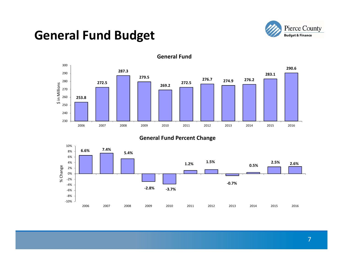### **General Fund Budget**





#### **General Fund**

#### **General Fund Percent Change**

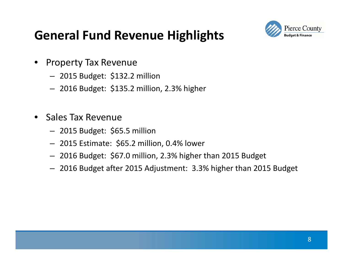### **General Fund Revenue Highlights**



- • Property Tax Revenue
	- 2015 Budget: \$132.2 million
	- 2016 Budget: \$135.2 million, 2.3% higher
- •• Sales Tax Revenue
	- 2015 Budget: \$65.5 million
	- 2015 Estimate: \$65.2 million, 0.4% lower
	- 2016 Budget: \$67.0 million, 2.3% higher than 2015 Budget
	- 2016 Budget after 2015 Adjustment: 3.3% higher than 2015 Budget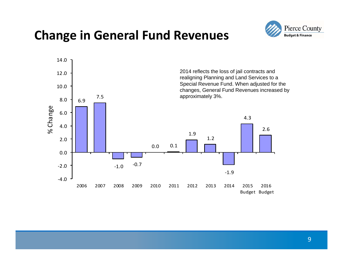### **Change in General Fund Revenues**



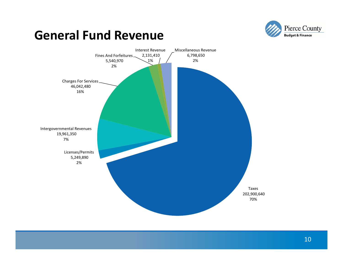

### **General Fund Revenue**

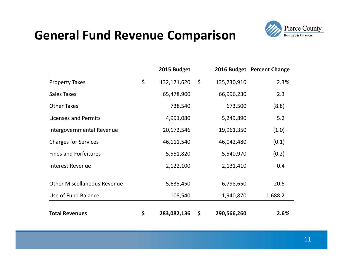### **General Fund Revenue Comparison**



|                                    | 2015 Budget       |                   | 2016 Budget Percent Change |
|------------------------------------|-------------------|-------------------|----------------------------|
| <b>Property Taxes</b>              | \$<br>132,171,620 | \$<br>135,230,910 | 2.3%                       |
| <b>Sales Taxes</b>                 | 65,478,900        | 66,996,230        | 2.3                        |
| <b>Other Taxes</b>                 | 738,540           | 673,500           | (8.8)                      |
| Licenses and Permits               | 4,991,080         | 5,249,890         | 5.2                        |
| Intergovernmental Revenue          | 20,172,546        | 19,961,350        | (1.0)                      |
| <b>Charges for Services</b>        | 46,111,540        | 46,042,480        | (0.1)                      |
| <b>Fines and Forfeitures</b>       | 5,551,820         | 5,540,970         | (0.2)                      |
| <b>Interest Revenue</b>            | 2,122,100         | 2,131,410         | 0.4                        |
| <b>Other Miscellaneous Revenue</b> | 5,635,450         | 6,798,650         | 20.6                       |
| Use of Fund Balance                | 108,540           | 1,940,870         | 1,688.2                    |
| <b>Total Revenues</b>              | \$<br>283,082,136 | \$<br>290,566,260 | 2.6%                       |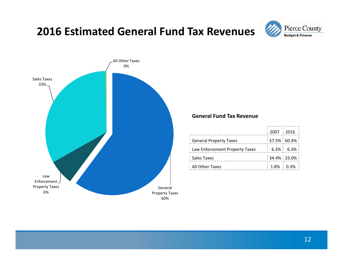### **2016 Estimated General Fund Tax Revenues**





#### **General Fund Tax Revenue**

|                                  | : 2007 : 2016 |                       |  |
|----------------------------------|---------------|-----------------------|--|
| : General Property Taxes         |               | $: 57.5\% : 60.4\% :$ |  |
| : Law Enforcement Property Taxes |               | $: 6.3\% : 6.3\% :$   |  |
| : Sales Taxes                    |               | $: 34.4\% : 33.0\% :$ |  |
| : All Other Taxes                |               | $: 1.8\% : 0.3\% :$   |  |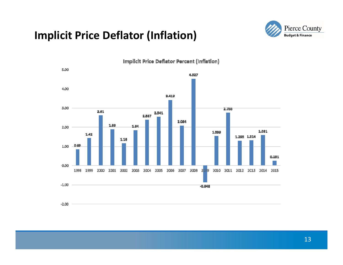### **Implicit Price Deflator (Inflation)**





**Implicit Price Deflator Percent (Inflation)**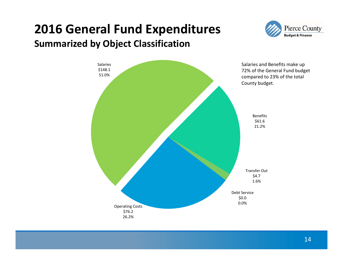### **2016 General Fund Expenditures Summarized by Object Classification**



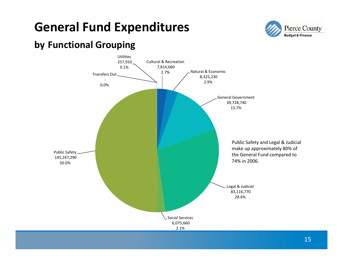### **General Fund Expenditures**



### **by Functional Grouping**

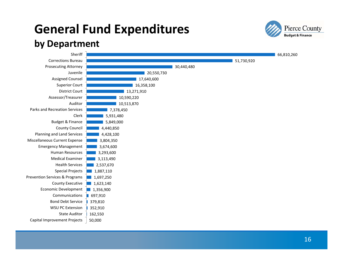# **General Fund Expenditures**



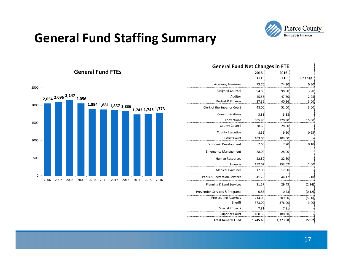

### **General Fund Staffing Summary**



| <b>General Fund Net Changes in FTE</b>    |            |            |        |
|-------------------------------------------|------------|------------|--------|
|                                           | 2015       | 2016       |        |
|                                           | <b>FTE</b> | <b>FTE</b> | Change |
| Assessor/Treasurer                        | 73.70      | 74.20      | 0.50   |
| <b>Assigned Counsel</b>                   | 94.80      | 98.00      | 3.20   |
| Auditor                                   | 45.55      | 47.80      | 2.25   |
| Budget & Finance                          | 37.36      | 40.36      | 3.00   |
| Clerk of the Superior Court               | 48.00      | 51.00      | 3.00   |
| Communications                            | 3.88       | 3.88       |        |
| Corrections                               | 305.90     | 320.90     | 15.00  |
| <b>County Council</b>                     | 28.60      | 28.60      |        |
| <b>County Executive</b>                   | 8.55       | 9.50       | 0.95   |
| <b>District Court</b>                     | 103.00     | 103.00     |        |
| <b>Economic Development</b>               | 7.60       | 7.70       | 0.10   |
| <b>Emergency Management</b>               | 28.00      | 28.00      |        |
| Human Resources                           | 22.80      | 22.80      |        |
| Juvenile                                  | 152.02     | 153.02     | 1.00   |
| <b>Medical Examiner</b>                   | 17.00      | 17.00      |        |
| Parks & Recreation Services               | 41.29      | 44.47      | 3.18   |
| Planning & Land Services                  | 31.57      | 29.43      | (2.14) |
| <b>Prevention Services &amp; Programs</b> | 0.85       | 0.73       | (0.12) |
| <b>Prosecuting Attorney</b>               | 214.00     | 209.00     | (5.00) |
| Sheriff                                   | 373.00     | 376.00     | 3.00   |
| <b>Special Projects</b>                   | 7.81       | 7.81       |        |
| <b>Superior Court</b>                     | 100.38     | 100.38     |        |
| <b>Total General Fund</b>                 | 1,745.66   | 1,773.58   | 27.92  |

#### **General Fund FTEs**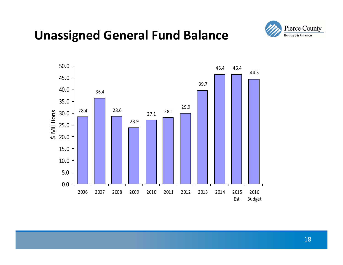### **Unassigned General Fund Balance**



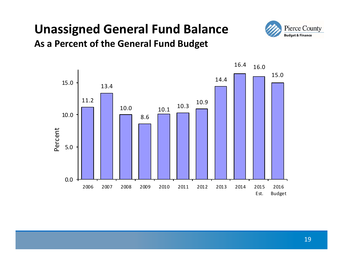# **Unassigned General Fund Balance**





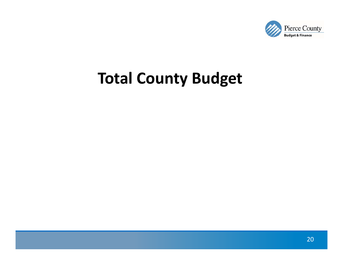

# **Total County Budget**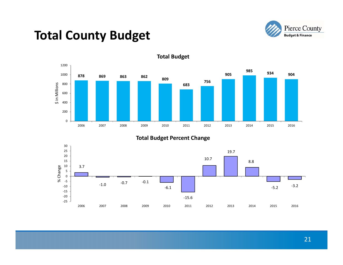### **Total County Budget**





**Total Budget**

#### **Total Budget Percent Change**

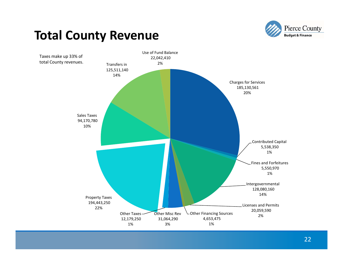### **Total County Revenue**



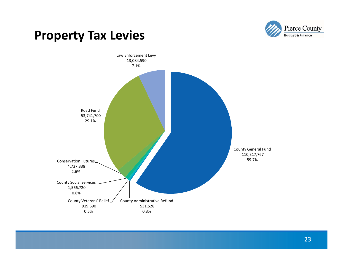

### **Property Tax Levies**

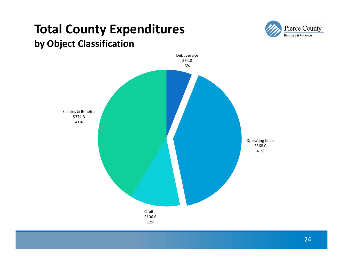### **Total County Expenditures by Object Classification**



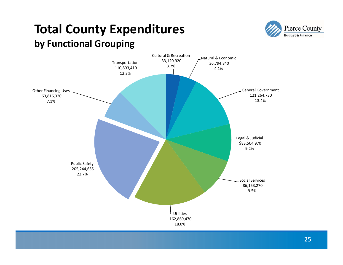### **Total County Expenditures by Functional Grouping**



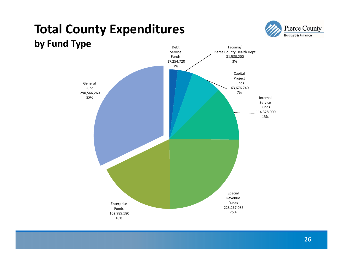### **Total County Expenditures by Fund Type**





26